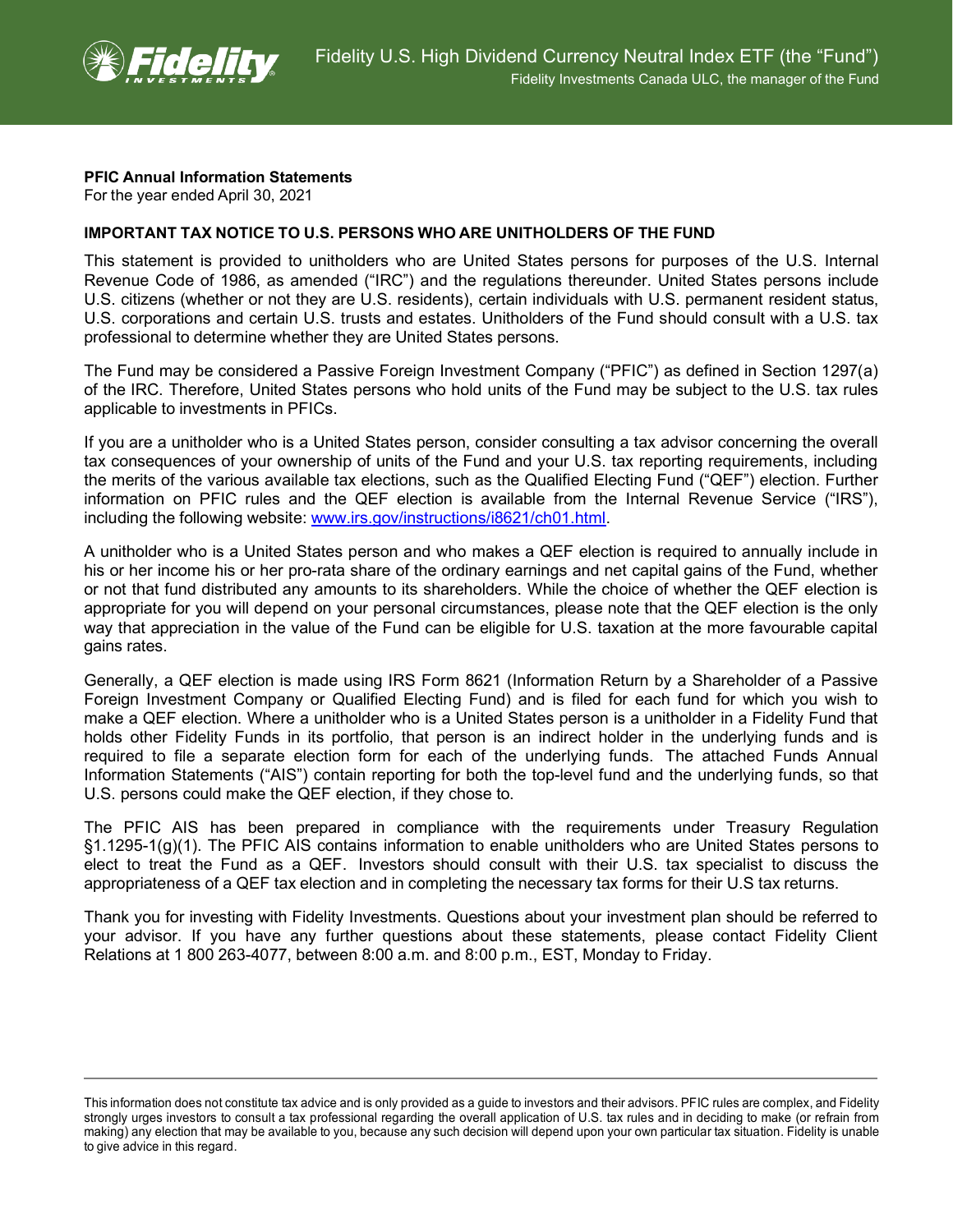

## **PFIC Annual Information Statements**

For the year ended April 30, 2021

## **IMPORTANT TAX NOTICE TO U.S. PERSONS WHO ARE UNITHOLDERS OF THE FUND**

This statement is provided to unitholders who are United States persons for purposes of the U.S. Internal Revenue Code of 1986, as amended ("IRC") and the regulations thereunder. United States persons include U.S. citizens (whether or not they are U.S. residents), certain individuals with U.S. permanent resident status, U.S. corporations and certain U.S. trusts and estates. Unitholders of the Fund should consult with a U.S. tax professional to determine whether they are United States persons.

The Fund may be considered a Passive Foreign Investment Company ("PFIC") as defined in Section 1297(a) of the IRC. Therefore, United States persons who hold units of the Fund may be subject to the U.S. tax rules applicable to investments in PFICs.

If you are a unitholder who is a United States person, consider consulting a tax advisor concerning the overall tax consequences of your ownership of units of the Fund and your U.S. tax reporting requirements, including the merits of the various available tax elections, such as the Qualified Electing Fund ("QEF") election. Further information on PFIC rules and the QEF election is available from the Internal Revenue Service ("IRS"), including the following website: [www.irs.gov/instructions/i8621/ch01.html.](http://www.irs.gov/instructions/i8621/ch01.html)

A unitholder who is a United States person and who makes a QEF election is required to annually include in his or her income his or her pro-rata share of the ordinary earnings and net capital gains of the Fund, whether or not that fund distributed any amounts to its shareholders. While the choice of whether the QEF election is appropriate for you will depend on your personal circumstances, please note that the QEF election is the only way that appreciation in the value of the Fund can be eligible for U.S. taxation at the more favourable capital gains rates.

Generally, a QEF election is made using IRS Form 8621 (Information Return by a Shareholder of a Passive Foreign Investment Company or Qualified Electing Fund) and is filed for each fund for which you wish to make a QEF election. Where a unitholder who is a United States person is a unitholder in a Fidelity Fund that holds other Fidelity Funds in its portfolio, that person is an indirect holder in the underlying funds and is required to file a separate election form for each of the underlying funds. The attached Funds Annual Information Statements ("AIS") contain reporting for both the top-level fund and the underlying funds, so that U.S. persons could make the QEF election, if they chose to.

The PFIC AIS has been prepared in compliance with the requirements under Treasury Regulation §1.1295-1(g)(1). The PFIC AIS contains information to enable unitholders who are United States persons to elect to treat the Fund as a QEF. Investors should consult with their U.S. tax specialist to discuss the appropriateness of a QEF tax election and in completing the necessary tax forms for their U.S tax returns.

Thank you for investing with Fidelity Investments. Questions about your investment plan should be referred to your advisor. If you have any further questions about these statements, please contact Fidelity Client Relations at 1 800 263-4077, between 8:00 a.m. and 8:00 p.m., EST, Monday to Friday.

This information does not constitute tax advice and is only provided as a guide to investors and their advisors. PFIC rules are complex, and Fidelity strongly urges investors to consult a tax professional regarding the overall application of U.S. tax rules and in deciding to make (or refrain from making) any election that may be available to you, because any such decision will depend upon your own particular tax situation. Fidelity is unable to give advice in this regard.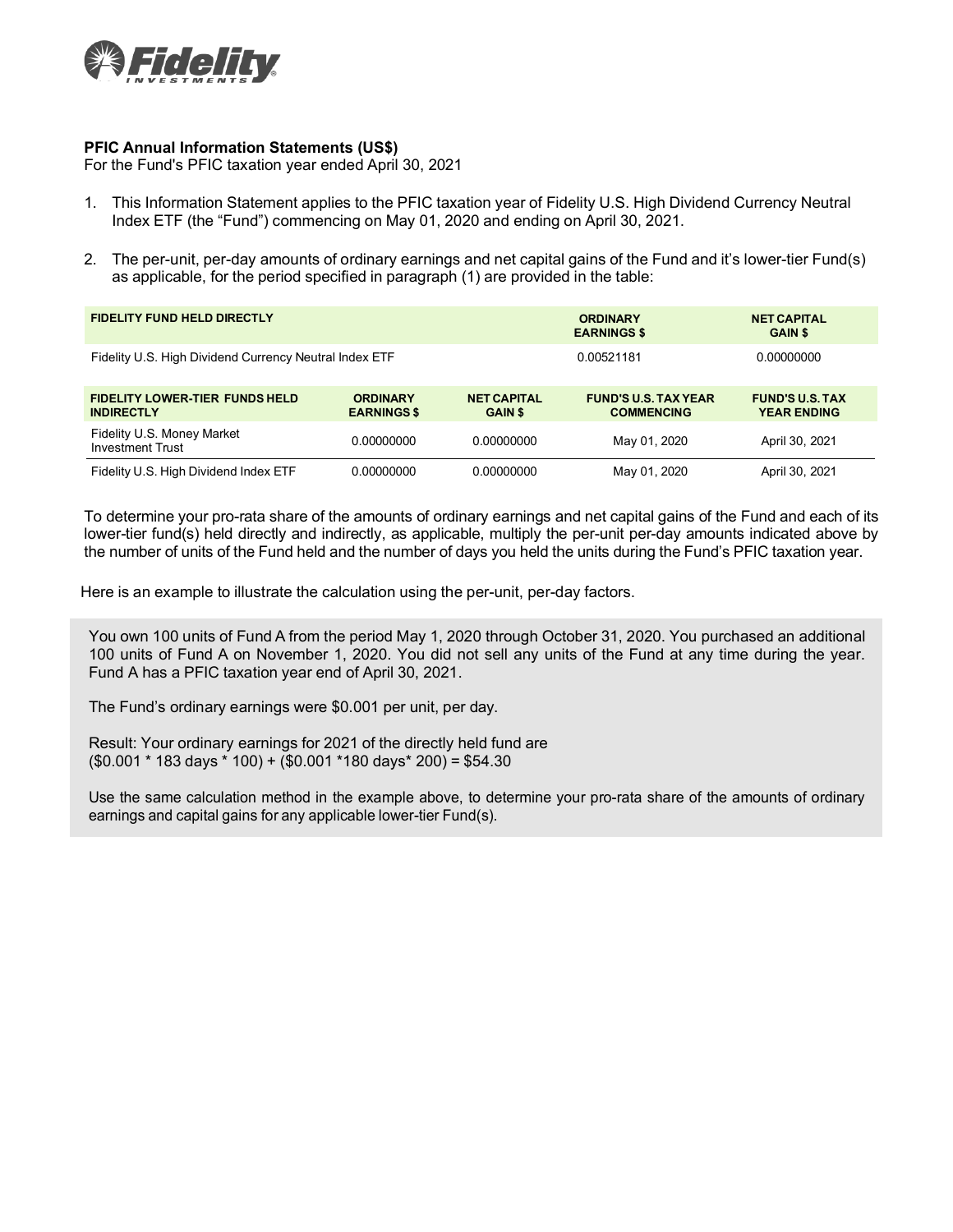

## **PFIC Annual Information Statements (US\$)**

For the Fund's PFIC taxation year ended April 30, 2021

- 1. This Information Statement applies to the PFIC taxation year of Fidelity U.S. High Dividend Currency Neutral Index ETF (the "Fund") commencing on May 01, 2020 and ending on April 30, 2021.
- 2. The per-unit, per-day amounts of ordinary earnings and net capital gains of the Fund and it's lower-tier Fund(s) as applicable, for the period specified in paragraph (1) are provided in the table:

| <b>FIDELITY FUND HELD DIRECTLY</b>                         |                                       |                                      | <b>ORDINARY</b><br><b>EARNINGS \$</b>            | <b>NET CAPITAL</b><br><b>GAIN \$</b>         |
|------------------------------------------------------------|---------------------------------------|--------------------------------------|--------------------------------------------------|----------------------------------------------|
| Fidelity U.S. High Dividend Currency Neutral Index ETF     |                                       |                                      | 0.00521181                                       | 0.00000000                                   |
| <b>FIDELITY LOWER-TIER FUNDS HELD</b><br><b>INDIRECTLY</b> | <b>ORDINARY</b><br><b>EARNINGS \$</b> | <b>NET CAPITAL</b><br><b>GAIN \$</b> | <b>FUND'S U.S. TAX YEAR</b><br><b>COMMENCING</b> | <b>FUND'S U.S. TAX</b><br><b>YEAR ENDING</b> |
| Fidelity U.S. Money Market<br><b>Investment Trust</b>      | 0.00000000                            | 0.00000000                           | May 01, 2020                                     | April 30, 2021                               |
| Fidelity U.S. High Dividend Index ETF                      | 0.00000000                            | 0.00000000                           | May 01, 2020                                     | April 30, 2021                               |

To determine your pro-rata share of the amounts of ordinary earnings and net capital gains of the Fund and each of its lower-tier fund(s) held directly and indirectly, as applicable, multiply the per-unit per-day amounts indicated above by the number of units of the Fund held and the number of days you held the units during the Fund's PFIC taxation year.

Here is an example to illustrate the calculation using the per-unit, per-day factors.

You own 100 units of Fund A from the period May 1, 2020 through October 31, 2020. You purchased an additional 100 units of Fund A on November 1, 2020. You did not sell any units of the Fund at any time during the year. Fund A has a PFIC taxation year end of April 30, 2021.

The Fund's ordinary earnings were \$0.001 per unit, per day.

Result: Your ordinary earnings for 2021 of the directly held fund are  $($0.001 * 183 \text{ days} * 100) + ($0.001 * 180 \text{ days} * 200) = $54.30$ 

Use the same calculation method in the example above, to determine your pro-rata share of the amounts of ordinary earnings and capital gains for any applicable lower-tier Fund(s).